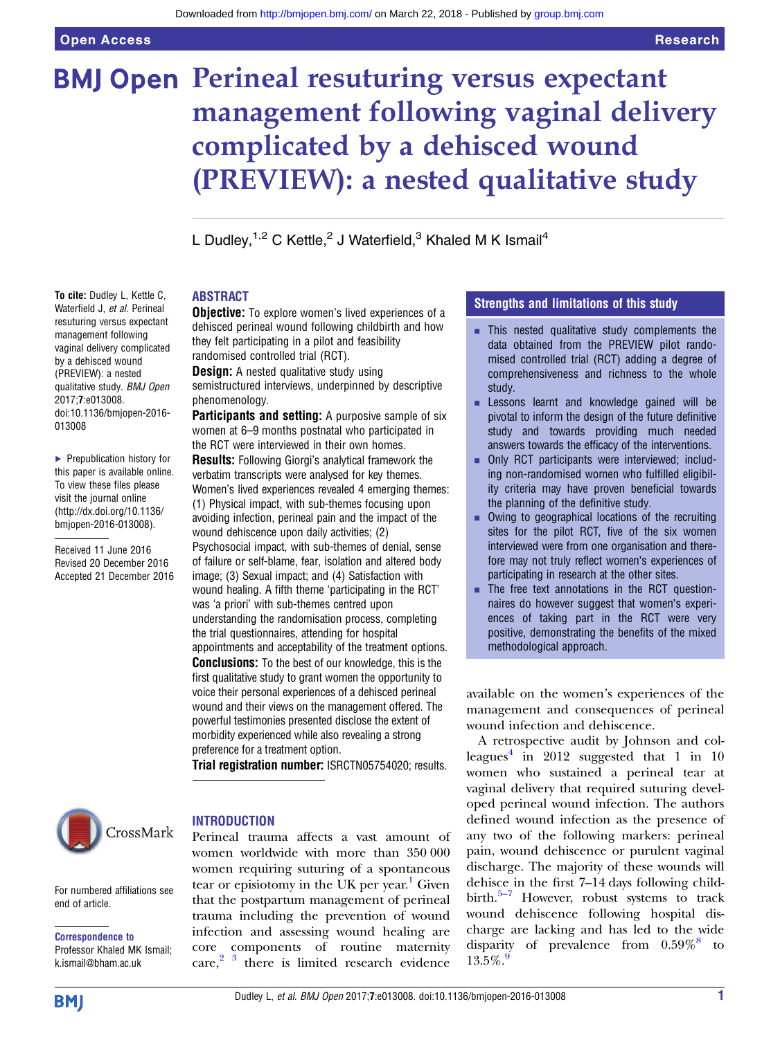To cite: Dudley L, Kettle C, Waterfield J. et al. Perineal resuturing versus expectant management following vaginal delivery complicated by a dehisced wound (PREVIEW): a nested qualitative study. BMJ Open

doi:10.1136/bmjopen-2016-

▶ Prepublication history for this paper is available online. To view these files please visit the journal online [\(http://dx.doi.org/10.1136/](http://dx.doi.org/10.1136/bmjopen-2016-013008) [bmjopen-2016-013008](http://dx.doi.org/10.1136/bmjopen-2016-013008)). Received 11 June 2016 Revised 20 December 2016 Accepted 21 December 2016

2017;7:e013008.

013008

# **BMJ Open Perineal resuturing versus expectant** management following vaginal delivery complicated by a dehisced wound (PREVIEW): a nested qualitative study

L Dudley,  $1,2$  C Kettle,  $2$  J Waterfield,  $3$  Khaled M K Ismail<sup>4</sup>

#### ABSTRACT

**Objective:** To explore women's lived experiences of a dehisced perineal wound following childbirth and how they felt participating in a pilot and feasibility randomised controlled trial (RCT).

**Design:** A nested qualitative study using semistructured interviews, underpinned by descriptive phenomenology.

Participants and setting: A purposive sample of six women at 6–9 months postnatal who participated in the RCT were interviewed in their own homes.

Results: Following Giorgi's analytical framework the verbatim transcripts were analysed for key themes. Women's lived experiences revealed 4 emerging themes: (1) Physical impact, with sub-themes focusing upon avoiding infection, perineal pain and the impact of the wound dehiscence upon daily activities; (2)

Psychosocial impact, with sub-themes of denial, sense of failure or self-blame, fear, isolation and altered body image; (3) Sexual impact; and (4) Satisfaction with wound healing. A fifth theme 'participating in the RCT' was 'a priori' with sub-themes centred upon understanding the randomisation process, completing the trial questionnaires, attending for hospital appointments and acceptability of the treatment options. **Conclusions:** To the best of our knowledge, this is the first qualitative study to grant women the opportunity to voice their personal experiences of a dehisced perineal wound and their views on the management offered. The powerful testimonies presented disclose the extent of morbidity experienced while also revealing a strong preference for a treatment option.

Trial registration number: [ISRCTN05754020](XXXX); results.



For numbered affiliations see

#### **INTRODUCTION**

Perineal trauma affects a vast amount of women worldwide with more than 350 000 women requiring suturing of a spontaneous tear or episiotomy in the UK per year.<sup>[1](#page-8-0)</sup> Given that the postpartum management of perineal trauma including the prevention of wound infection and assessing wound healing are core components of routine maternity care,<sup>2</sup>  $\frac{3}{5}$  there is limited research evidence

#### Strengths and limitations of this study

- $\blacksquare$  This nested qualitative study complements the data obtained from the PREVIEW pilot randomised controlled trial (RCT) adding a degree of comprehensiveness and richness to the whole study.
- **EXECUTE:** Lessons learnt and knowledge gained will be pivotal to inform the design of the future definitive study and towards providing much needed answers towards the efficacy of the interventions.
- **Only RCT participants were interviewed: includ**ing non-randomised women who fulfilled eligibility criteria may have proven beneficial towards the planning of the definitive study.
- Owing to geographical locations of the recruiting sites for the pilot RCT, five of the six women interviewed were from one organisation and therefore may not truly reflect women's experiences of participating in research at the other sites.
- **The free text annotations in the RCT question**naires do however suggest that women's experiences of taking part in the RCT were very positive, demonstrating the benefits of the mixed methodological approach.

available on the women's experiences of the management and consequences of perineal wound infection and dehiscence.

A retrospective audit by Johnson and col-leagues<sup>[4](#page-8-0)</sup> in 2012 suggested that 1 in 10 women who sustained a perineal tear at vaginal delivery that required suturing developed perineal wound infection. The authors defined wound infection as the presence of any two of the following markers: perineal pain, wound dehiscence or purulent vaginal discharge. The majority of these wounds will dehis[ce](#page-8-0) in the first 7–14 days following childbirth. $5-7$  However, robust systems to track wound dehiscence following hospital discharge are lacking and has led to the wide disparity of prevalence from  $0.59\%$ <sup>[8](#page-8-0)</sup> to  $13.5\%$ .

**BMI** 

end of article.

Correspondence to Professor Khaled MK Ismail; k.ismail@bham.ac.uk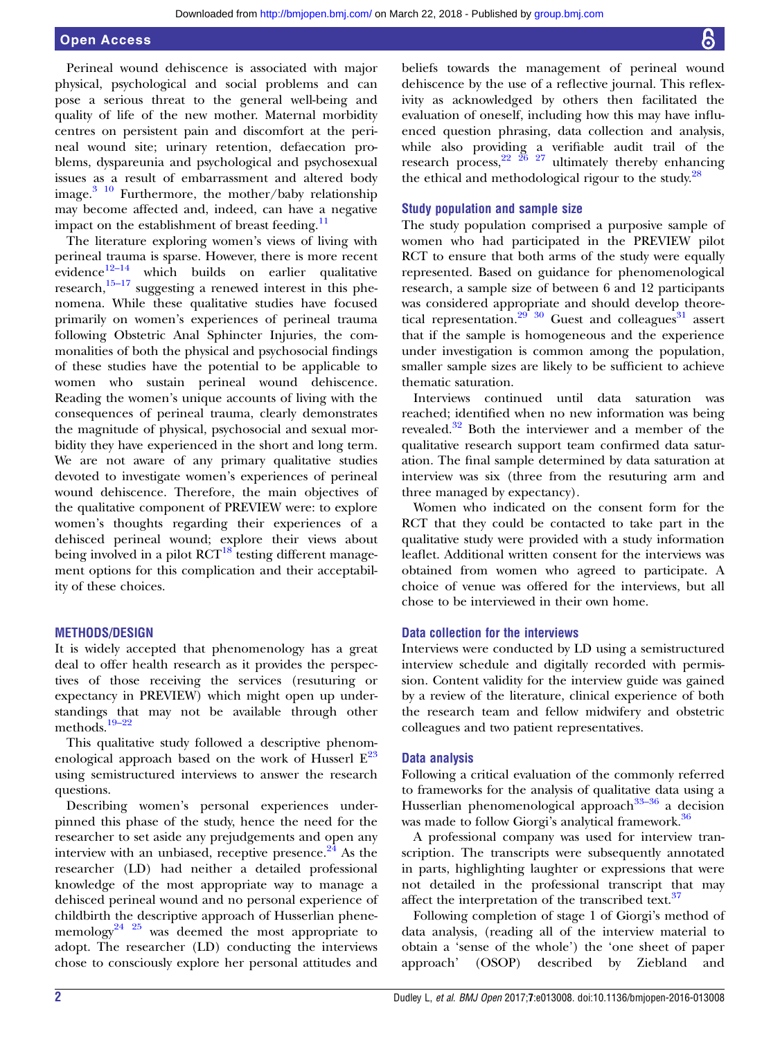Perineal wound dehiscence is associated with major physical, psychological and social problems and can pose a serious threat to the general well-being and quality of life of the new mother. Maternal morbidity centres on persistent pain and discomfort at the perineal wound site; urinary retention, defaecation problems, dyspareunia and psychological and psychosexual issues as a result of embarrassment and altered body image.<sup>3</sup> <sup>10</sup> Furthermore, the mother/baby relationship may become affected and, indeed, can have a negative impact on the establishment of breast feeding. $^{11}$  $^{11}$  $^{11}$ 

The literature exploring women's views of living with perineal trauma is sparse. However, there is more recent evidence $12-14$  $12-14$  which builds on earlier qualitative research, $15-17$  $15-17$  suggesting a renewed interest in this phenomena. While these qualitative studies have focused primarily on women's experiences of perineal trauma following Obstetric Anal Sphincter Injuries, the commonalities of both the physical and psychosocial findings of these studies have the potential to be applicable to women who sustain perineal wound dehiscence. Reading the women's unique accounts of living with the consequences of perineal trauma, clearly demonstrates the magnitude of physical, psychosocial and sexual morbidity they have experienced in the short and long term. We are not aware of any primary qualitative studies devoted to investigate women's experiences of perineal wound dehiscence. Therefore, the main objectives of the qualitative component of PREVIEW were: to explore women's thoughts regarding their experiences of a dehisced perineal wound; explore their views about being involved in a pilot  $\text{RCT}^{18}$  $\text{RCT}^{18}$  $\text{RCT}^{18}$  testing different management options for this complication and their acceptability of these choices.

#### METHODS/DESIGN

It is widely accepted that phenomenology has a great deal to offer health research as it provides the perspectives of those receiving the services (resuturing or expectancy in PREVIEW) which might open up understandings that may not be available through other methods.19–[22](#page-8-0)

This qualitative study followed a descriptive phenomenological approach based on the work of Husserl  $E^{23}$  $E^{23}$  $E^{23}$ using semistructured interviews to answer the research questions.

Describing women's personal experiences underpinned this phase of the study, hence the need for the researcher to set aside any prejudgements and open any interview with an unbiased, receptive presence. $^{24}$  $^{24}$  $^{24}$  As the researcher (LD) had neither a detailed professional knowledge of the most appropriate way to manage a dehisced perineal wound and no personal experience of childbirth the descriptive approach of Husserlian phenememology $^{24}$   $^{25}$  was deemed the most appropriate to adopt. The researcher (LD) conducting the interviews chose to consciously explore her personal attitudes and beliefs towards the management of perineal wound dehiscence by the use of a reflective journal. This reflexivity as acknowledged by others then facilitated the evaluation of oneself, including how this may have influenced question phrasing, data collection and analysis, while also providing a verifiable audit trail of the research process,  $22 \frac{26}{26}$   $27$  ultimately thereby enhancing the ethical and methodological rigour to the study.<sup>28</sup>

#### Study population and sample size

The study population comprised a purposive sample of women who had participated in the PREVIEW pilot RCT to ensure that both arms of the study were equally represented. Based on guidance for phenomenological research, a sample size of between 6 and 12 participants was considered appropriate and should develop theoretical representation.<sup>29</sup>  $30$  Guest and colleagues<sup>[31](#page-9-0)</sup> assert that if the sample is homogeneous and the experience under investigation is common among the population, smaller sample sizes are likely to be sufficient to achieve thematic saturation.

Interviews continued until data saturation was reached; identified when no new information was being revealed.[32](#page-9-0) Both the interviewer and a member of the qualitative research support team confirmed data saturation. The final sample determined by data saturation at interview was six (three from the resuturing arm and three managed by expectancy).

Women who indicated on the consent form for the RCT that they could be contacted to take part in the qualitative study were provided with a study information leaflet. Additional written consent for the interviews was obtained from women who agreed to participate. A choice of venue was offered for the interviews, but all chose to be interviewed in their own home.

#### Data collection for the interviews

Interviews were conducted by LD using a semistructured interview schedule and digitally recorded with permission. Content validity for the interview guide was gained by a review of the literature, clinical experience of both the research team and fellow midwifery and obstetric colleagues and two patient representatives.

#### Data analysis

Following a critical evaluation of the commonly referred to frameworks for the analysis of qualitative data using a Husserlian phenomenological approach<sup>[33](#page-9-0)–36</sup> a decision was made to follow Giorgi's analytical framework.<sup>36</sup>

A professional company was used for interview transcription. The transcripts were subsequently annotated in parts, highlighting laughter or expressions that were not detailed in the professional transcript that may affect the interpretation of the transcribed text.<sup>[37](#page-9-0)</sup>

Following completion of stage 1 of Giorgi's method of data analysis, (reading all of the interview material to obtain a 'sense of the whole') the 'one sheet of paper approach' (OSOP) described by Ziebland and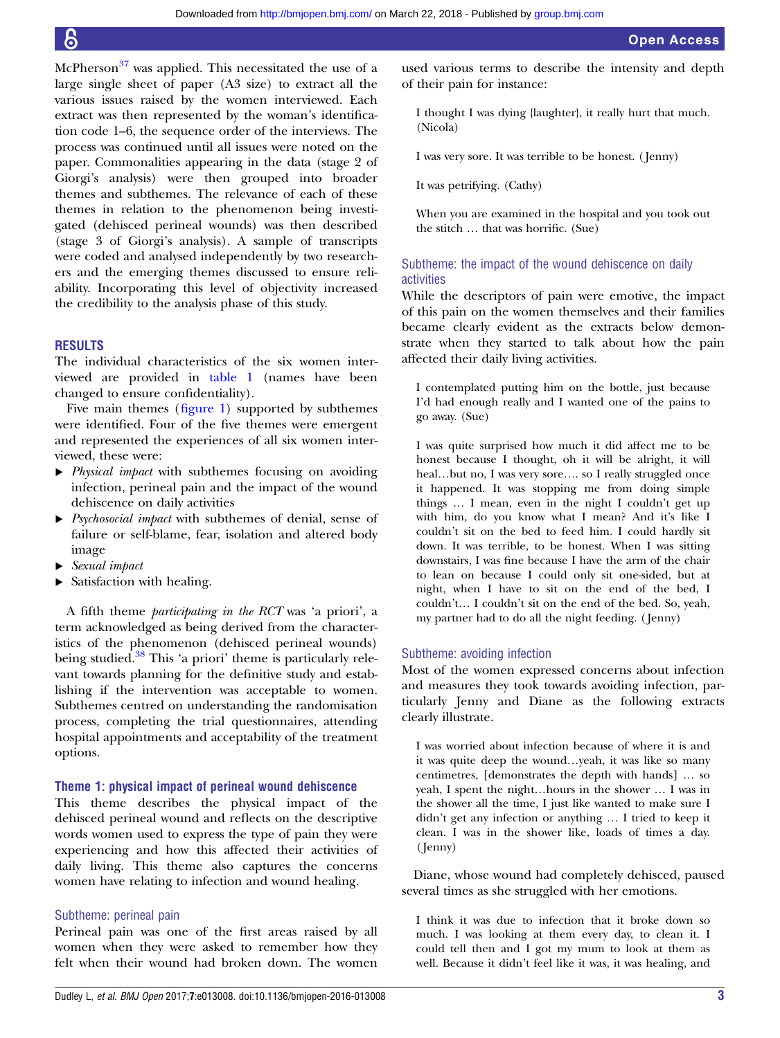McPherson<sup>[37](#page-9-0)</sup> was applied. This necessitated the use of a large single sheet of paper (A3 size) to extract all the various issues raised by the women interviewed. Each extract was then represented by the woman's identification code 1–6, the sequence order of the interviews. The process was continued until all issues were noted on the paper. Commonalities appearing in the data (stage 2 of Giorgi's analysis) were then grouped into broader themes and subthemes. The relevance of each of these themes in relation to the phenomenon being investigated (dehisced perineal wounds) was then described (stage 3 of Giorgi's analysis). A sample of transcripts were coded and analysed independently by two researchers and the emerging themes discussed to ensure reliability. Incorporating this level of objectivity increased the credibility to the analysis phase of this study.

#### RESULTS

The individual characteristics of the six women interviewed are provided in [table 1](#page-3-0) (names have been changed to ensure confidentiality).

Five main themes (fi[gure 1\)](#page-3-0) supported by subthemes were identified. Four of the five themes were emergent and represented the experiences of all six women interviewed, these were:

- ▸ Physical impact with subthemes focusing on avoiding infection, perineal pain and the impact of the wound dehiscence on daily activities
- ▶ *Psychosocial impact* with subthemes of denial, sense of failure or self-blame, fear, isolation and altered body image
- ▶ Sexual impact
- ▶ Satisfaction with healing.

<sup>A</sup> fifth theme participating in the RCT was 'a priori', a term acknowledged as being derived from the characteristics of the phenomenon (dehisced perineal wounds) being studied. $38$  This 'a priori' theme is particularly relevant towards planning for the definitive study and establishing if the intervention was acceptable to women. Subthemes centred on understanding the randomisation process, completing the trial questionnaires, attending hospital appointments and acceptability of the treatment options.

#### Theme 1: physical impact of perineal wound dehiscence

This theme describes the physical impact of the dehisced perineal wound and reflects on the descriptive words women used to express the type of pain they were experiencing and how this affected their activities of daily living. This theme also captures the concerns women have relating to infection and wound healing.

#### Subtheme: perineal pain

Perineal pain was one of the first areas raised by all women when they were asked to remember how they felt when their wound had broken down. The women

used various terms to describe the intensity and depth of their pain for instance:

I thought I was dying {laughter}, it really hurt that much. (Nicola)

I was very sore. It was terrible to be honest. ( Jenny)

It was petrifying. (Cathy)

When you are examined in the hospital and you took out the stitch … that was horrific. (Sue)

#### Subtheme: the impact of the wound dehiscence on daily activities

While the descriptors of pain were emotive, the impact of this pain on the women themselves and their families became clearly evident as the extracts below demonstrate when they started to talk about how the pain affected their daily living activities.

I contemplated putting him on the bottle, just because I'd had enough really and I wanted one of the pains to go away. (Sue)

I was quite surprised how much it did affect me to be honest because I thought, oh it will be alright, it will heal…but no, I was very sore…. so I really struggled once it happened. It was stopping me from doing simple things … I mean, even in the night I couldn't get up with him, do you know what I mean? And it's like I couldn't sit on the bed to feed him. I could hardly sit down. It was terrible, to be honest. When I was sitting downstairs, I was fine because I have the arm of the chair to lean on because I could only sit one-sided, but at night, when I have to sit on the end of the bed, I couldn't… I couldn't sit on the end of the bed. So, yeah, my partner had to do all the night feeding. ( Jenny)

#### Subtheme: avoiding infection

Most of the women expressed concerns about infection and measures they took towards avoiding infection, particularly Jenny and Diane as the following extracts clearly illustrate.

I was worried about infection because of where it is and it was quite deep the wound…yeah, it was like so many centimetres, [demonstrates the depth with hands] … so yeah, I spent the night…hours in the shower … I was in the shower all the time, I just like wanted to make sure I didn't get any infection or anything … I tried to keep it clean. I was in the shower like, loads of times a day. ( Jenny)

Diane, whose wound had completely dehisced, paused several times as she struggled with her emotions.

I think it was due to infection that it broke down so much. I was looking at them every day, to clean it. I could tell then and I got my mum to look at them as well. Because it didn't feel like it was, it was healing, and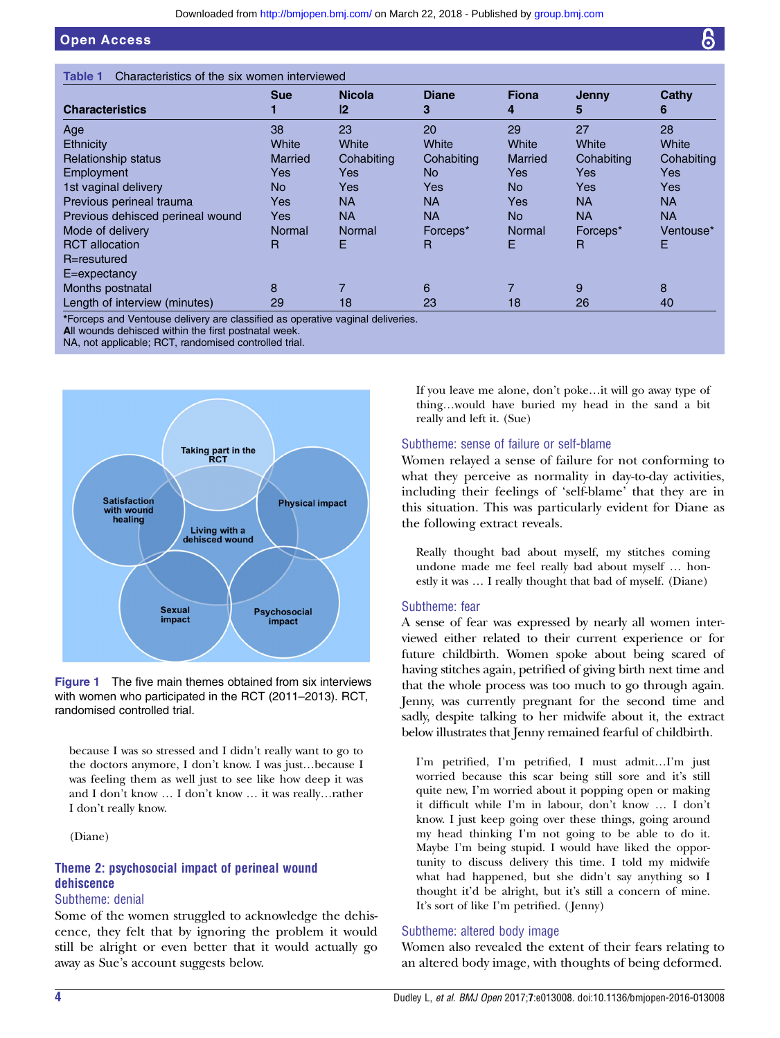| <b>Service Service</b><br><b>Service Service</b> |  |  |
|--------------------------------------------------|--|--|
|                                                  |  |  |
|                                                  |  |  |

<span id="page-3-0"></span>

|                                  | <b>Sue</b>     | <b>Nicola</b> | <b>Diane</b> | <b>Fiona</b>   | Jenny      | Cathy      |
|----------------------------------|----------------|---------------|--------------|----------------|------------|------------|
| <b>Characteristics</b>           |                | 12            | З            | 4              | 5          | 6          |
| Age                              | 38             | 23            | 20           | 29             | 27         | 28         |
| Ethnicity                        | White          | White         | White        | White          | White      | White      |
| Relationship status              | <b>Married</b> | Cohabiting    | Cohabiting   | <b>Married</b> | Cohabiting | Cohabiting |
| Employment                       | Yes            | Yes           | No.          | Yes            | Yes        | Yes        |
| 1st vaginal delivery             | <b>No</b>      | Yes           | Yes          | No.            | Yes        | Yes        |
| Previous perineal trauma         | Yes            | NA.           | <b>NA</b>    | <b>Yes</b>     | <b>NA</b>  | <b>NA</b>  |
| Previous dehisced perineal wound | <b>Yes</b>     | NA.           | <b>NA</b>    | No.            | <b>NA</b>  | <b>NA</b>  |
| Mode of delivery                 | Normal         | Normal        | Forceps*     | Normal         | Forceps*   | Ventouse*  |
| <b>RCT</b> allocation            | R              | F.            | R            | F              | R          | Е          |
| $R =$ resutured                  |                |               |              |                |            |            |
| E=expectancy                     |                |               |              |                |            |            |
| Months postnatal                 | 8              |               | 6            |                | 9          | 8          |
| Length of interview (minutes)    | 29             | 18            | 23           | 18             | 26         | 40         |

\*Forceps and Ventouse delivery are classified as operative vaginal deliveries.<br>All wounds debisced within the first postnatal week

All wounds dehisced within the first postnatal week.<br>NA not applicable: RCT randomised controlled tria

NA, not applicable; RCT, randomised controlled trial.





because I was so stressed and I didn't really want to go to the doctors anymore, I don't know. I was just…because I was feeling them as well just to see like how deep it was and I don't know … I don't know … it was really…rather I don't really know.

(Diane)

### Theme 2: psychosocial impact of perineal wound dehiscence

#### Subtheme: denial

Some of the women struggled to acknowledge the dehiscence, they felt that by ignoring the problem it would still be alright or even better that it would actually go away as Sue's account suggests below.

If you leave me alone, don't poke…it will go away type of thing…would have buried my head in the sand a bit really and left it. (Sue)

#### Subtheme: sense of failure or self-blame

Women relayed a sense of failure for not conforming to what they perceive as normality in day-to-day activities, including their feelings of 'self-blame' that they are in this situation. This was particularly evident for Diane as the following extract reveals.

Really thought bad about myself, my stitches coming undone made me feel really bad about myself … honestly it was … I really thought that bad of myself. (Diane)

#### Subtheme: fear

A sense of fear was expressed by nearly all women interviewed either related to their current experience or for future childbirth. Women spoke about being scared of having stitches again, petrified of giving birth next time and that the whole process was too much to go through again. Jenny, was currently pregnant for the second time and sadly, despite talking to her midwife about it, the extract below illustrates that Jenny remained fearful of childbirth.

I'm petrified, I'm petrified, I must admit…I'm just worried because this scar being still sore and it's still quite new, I'm worried about it popping open or making it difficult while I'm in labour, don't know … I don't know. I just keep going over these things, going around my head thinking I'm not going to be able to do it. Maybe I'm being stupid. I would have liked the opportunity to discuss delivery this time. I told my midwife what had happened, but she didn't say anything so I thought it'd be alright, but it's still a concern of mine. It's sort of like I'm petrified. ( Jenny)

#### Subtheme: altered body image

Women also revealed the extent of their fears relating to an altered body image, with thoughts of being deformed.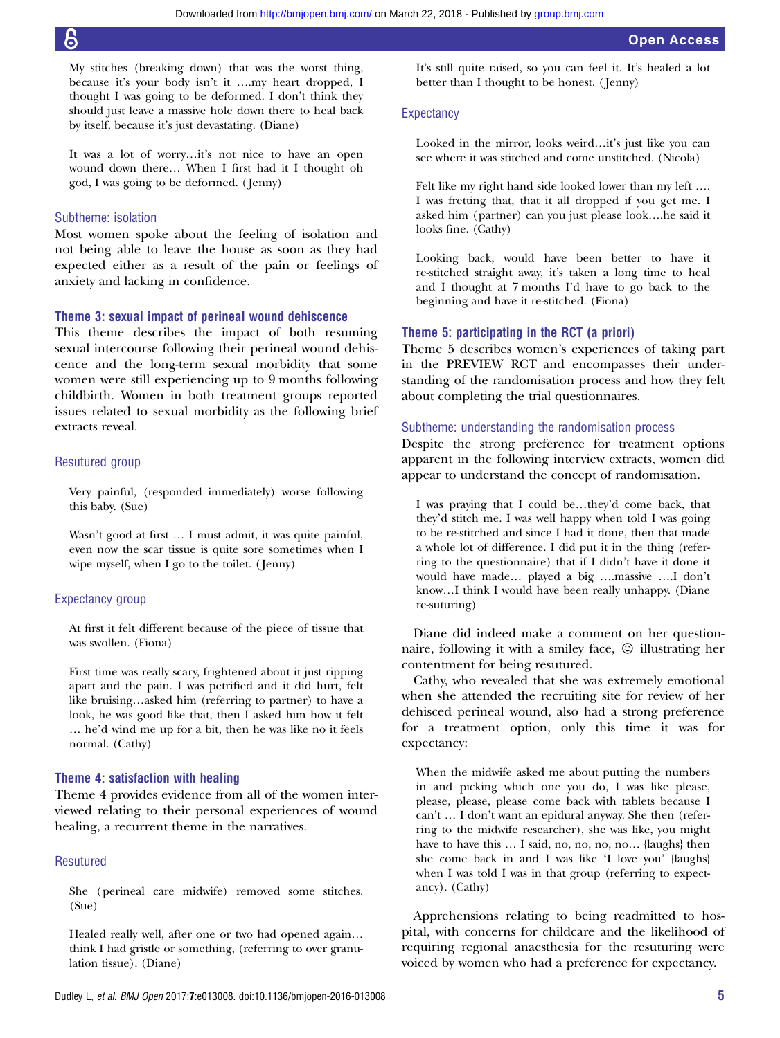My stitches (breaking down) that was the worst thing, because it's your body isn't it ….my heart dropped, I thought I was going to be deformed. I don't think they should just leave a massive hole down there to heal back by itself, because it's just devastating. (Diane)

It was a lot of worry…it's not nice to have an open wound down there… When I first had it I thought oh god, I was going to be deformed. ( Jenny)

#### Subtheme: isolation

Most women spoke about the feeling of isolation and not being able to leave the house as soon as they had expected either as a result of the pain or feelings of anxiety and lacking in confidence.

#### Theme 3: sexual impact of perineal wound dehiscence

This theme describes the impact of both resuming sexual intercourse following their perineal wound dehiscence and the long-term sexual morbidity that some women were still experiencing up to 9 months following childbirth. Women in both treatment groups reported issues related to sexual morbidity as the following brief extracts reveal.

#### Resutured group

Very painful, (responded immediately) worse following this baby. (Sue)

Wasn't good at first … I must admit, it was quite painful, even now the scar tissue is quite sore sometimes when I wipe myself, when I go to the toilet. ( Jenny)

#### Expectancy group

At first it felt different because of the piece of tissue that was swollen. (Fiona)

First time was really scary, frightened about it just ripping apart and the pain. I was petrified and it did hurt, felt like bruising…asked him (referring to partner) to have a look, he was good like that, then I asked him how it felt … he'd wind me up for a bit, then he was like no it feels normal. (Cathy)

#### Theme 4: satisfaction with healing

Theme 4 provides evidence from all of the women interviewed relating to their personal experiences of wound healing, a recurrent theme in the narratives.

#### Resutured

She (perineal care midwife) removed some stitches. (Sue)

Healed really well, after one or two had opened again… think I had gristle or something, (referring to over granulation tissue). (Diane)

It's still quite raised, so you can feel it. It's healed a lot better than I thought to be honest. ( Jenny)

#### **Expectancy**

Looked in the mirror, looks weird…it's just like you can see where it was stitched and come unstitched. (Nicola)

Felt like my right hand side looked lower than my left …. I was fretting that, that it all dropped if you get me. I asked him (partner) can you just please look….he said it looks fine. (Cathy)

Looking back, would have been better to have it re-stitched straight away, it's taken a long time to heal and I thought at 7 months I'd have to go back to the beginning and have it re-stitched. (Fiona)

#### Theme 5: participating in the RCT (a priori)

Theme 5 describes women's experiences of taking part in the PREVIEW RCT and encompasses their understanding of the randomisation process and how they felt about completing the trial questionnaires.

#### Subtheme: understanding the randomisation process

Despite the strong preference for treatment options apparent in the following interview extracts, women did appear to understand the concept of randomisation.

I was praying that I could be…they'd come back, that they'd stitch me. I was well happy when told I was going to be re-stitched and since I had it done, then that made a whole lot of difference. I did put it in the thing (referring to the questionnaire) that if I didn't have it done it would have made… played a big ….massive ….I don't know…I think I would have been really unhappy. (Diane re-suturing)

Diane did indeed make a comment on her questionnaire, following it with a smiley face, ☺ illustrating her contentment for being resutured.

Cathy, who revealed that she was extremely emotional when she attended the recruiting site for review of her dehisced perineal wound, also had a strong preference for a treatment option, only this time it was for expectancy:

When the midwife asked me about putting the numbers in and picking which one you do, I was like please, please, please, please come back with tablets because I can't … I don't want an epidural anyway. She then (referring to the midwife researcher), she was like, you might have to have this ... I said, no, no, no, no... {laughs} then she come back in and I was like 'I love you' {laughs} when I was told I was in that group (referring to expectancy). (Cathy)

Apprehensions relating to being readmitted to hospital, with concerns for childcare and the likelihood of requiring regional anaesthesia for the resuturing were voiced by women who had a preference for expectancy.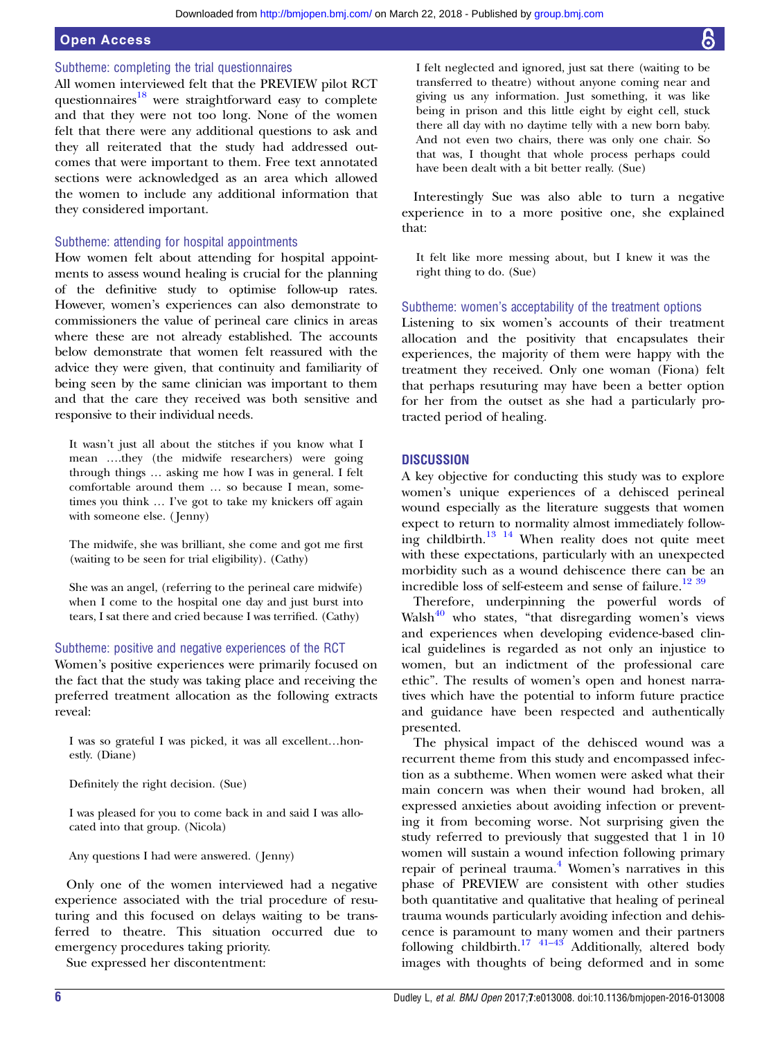#### Subtheme: completing the trial questionnaires

All women interviewed felt that the PREVIEW pilot RCT questionnaires $^{18}$  $^{18}$  $^{18}$  were straightforward easy to complete and that they were not too long. None of the women felt that there were any additional questions to ask and they all reiterated that the study had addressed outcomes that were important to them. Free text annotated sections were acknowledged as an area which allowed the women to include any additional information that they considered important.

#### Subtheme: attending for hospital appointments

How women felt about attending for hospital appointments to assess wound healing is crucial for the planning of the definitive study to optimise follow-up rates. However, women's experiences can also demonstrate to commissioners the value of perineal care clinics in areas where these are not already established. The accounts below demonstrate that women felt reassured with the advice they were given, that continuity and familiarity of being seen by the same clinician was important to them and that the care they received was both sensitive and responsive to their individual needs.

It wasn't just all about the stitches if you know what I mean ….they (the midwife researchers) were going through things … asking me how I was in general. I felt comfortable around them … so because I mean, sometimes you think … I've got to take my knickers off again with someone else. ( Jenny)

The midwife, she was brilliant, she come and got me first (waiting to be seen for trial eligibility). (Cathy)

She was an angel, (referring to the perineal care midwife) when I come to the hospital one day and just burst into tears, I sat there and cried because I was terrified. (Cathy)

#### Subtheme: positive and negative experiences of the RCT

Women's positive experiences were primarily focused on the fact that the study was taking place and receiving the preferred treatment allocation as the following extracts reveal:

I was so grateful I was picked, it was all excellent…honestly. (Diane)

Definitely the right decision. (Sue)

I was pleased for you to come back in and said I was allocated into that group. (Nicola)

Any questions I had were answered. ( Jenny)

Only one of the women interviewed had a negative experience associated with the trial procedure of resuturing and this focused on delays waiting to be transferred to theatre. This situation occurred due to emergency procedures taking priority.

Sue expressed her discontentment:

I felt neglected and ignored, just sat there (waiting to be transferred to theatre) without anyone coming near and giving us any information. Just something, it was like being in prison and this little eight by eight cell, stuck there all day with no daytime telly with a new born baby. And not even two chairs, there was only one chair. So that was, I thought that whole process perhaps could have been dealt with a bit better really. (Sue)

Interestingly Sue was also able to turn a negative experience in to a more positive one, she explained that:

It felt like more messing about, but I knew it was the right thing to do. (Sue)

#### Subtheme: women's acceptability of the treatment options

Listening to six women's accounts of their treatment allocation and the positivity that encapsulates their experiences, the majority of them were happy with the treatment they received. Only one woman (Fiona) felt that perhaps resuturing may have been a better option for her from the outset as she had a particularly protracted period of healing.

#### **DISCUSSION**

A key objective for conducting this study was to explore women's unique experiences of a dehisced perineal wound especially as the literature suggests that women expect to return to normality almost immediately following childbirth. $13 \frac{14}{14}$  When reality does not quite meet with these expectations, particularly with an unexpected morbidity such as a wound dehiscence there can be an incredible loss of self-esteem and sense of failure.<sup>[12](#page-8-0) [39](#page-9-0)</sup>

Therefore, underpinning the powerful words of  $Walsh<sup>40</sup>$  $Walsh<sup>40</sup>$  $Walsh<sup>40</sup>$  who states, "that disregarding women's views and experiences when developing evidence-based clinical guidelines is regarded as not only an injustice to women, but an indictment of the professional care ethic". The results of women's open and honest narratives which have the potential to inform future practice and guidance have been respected and authentically presented.

The physical impact of the dehisced wound was a recurrent theme from this study and encompassed infection as a subtheme. When women were asked what their main concern was when their wound had broken, all expressed anxieties about avoiding infection or preventing it from becoming worse. Not surprising given the study referred to previously that suggested that 1 in 10 women will sustain a wound infection following primary repair of perineal trauma.<sup>4</sup> Women's narratives in this phase of PREVIEW are consistent with other studies both quantitative and qualitative that healing of perineal trauma wounds particularly avoiding infection and dehiscence is paramount to many women and their partners following childbirth.<sup>[17](#page-8-0) [41](#page-9-0)–43</sup> Additionally, altered body images with thoughts of being deformed and in some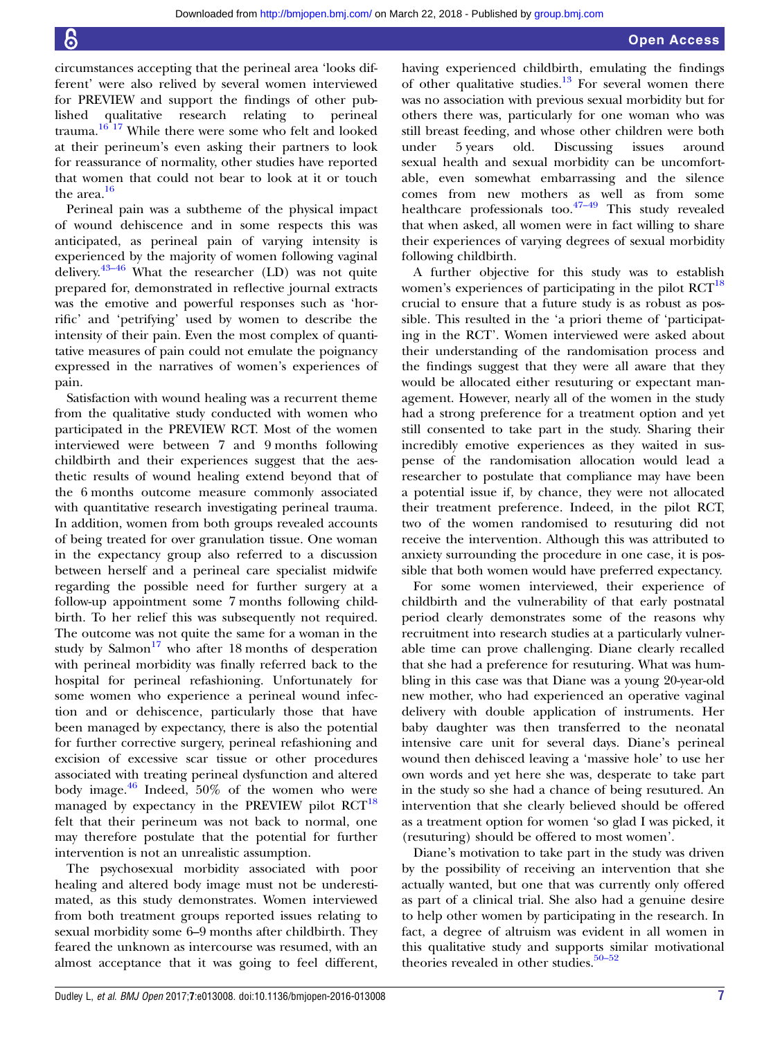circumstances accepting that the perineal area 'looks different' were also relived by several women interviewed for PREVIEW and support the findings of other published qualitative research relating to perineal trauma.<sup>16</sup><sup>17</sup> While there were some who felt and looked at their perineum's even asking their partners to look for reassurance of normality, other studies have reported that women that could not bear to look at it or touch the area. $16$ 

Perineal pain was a subtheme of the physical impact of wound dehiscence and in some respects this was anticipated, as perineal pain of varying intensity is experienced by the majority of women following vaginal delivery.[43](#page-9-0)–<sup>46</sup> What the researcher (LD) was not quite prepared for, demonstrated in reflective journal extracts was the emotive and powerful responses such as 'horrific' and 'petrifying' used by women to describe the intensity of their pain. Even the most complex of quantitative measures of pain could not emulate the poignancy expressed in the narratives of women's experiences of pain.

Satisfaction with wound healing was a recurrent theme from the qualitative study conducted with women who participated in the PREVIEW RCT. Most of the women interviewed were between 7 and 9 months following childbirth and their experiences suggest that the aesthetic results of wound healing extend beyond that of the 6 months outcome measure commonly associated with quantitative research investigating perineal trauma. In addition, women from both groups revealed accounts of being treated for over granulation tissue. One woman in the expectancy group also referred to a discussion between herself and a perineal care specialist midwife regarding the possible need for further surgery at a follow-up appointment some 7 months following childbirth. To her relief this was subsequently not required. The outcome was not quite the same for a woman in the study by Salmon<sup>[17](#page-8-0)</sup> who after 18 months of desperation with perineal morbidity was finally referred back to the hospital for perineal refashioning. Unfortunately for some women who experience a perineal wound infection and or dehiscence, particularly those that have been managed by expectancy, there is also the potential for further corrective surgery, perineal refashioning and excision of excessive scar tissue or other procedures associated with treating perineal dysfunction and altered body image. $^{46}$  $^{46}$  $^{46}$  Indeed, 50% of the women who were managed by expectancy in the PREVIEW pilot RCT<sup>[18](#page-8-0)</sup> felt that their perineum was not back to normal, one may therefore postulate that the potential for further intervention is not an unrealistic assumption.

The psychosexual morbidity associated with poor healing and altered body image must not be underestimated, as this study demonstrates. Women interviewed from both treatment groups reported issues relating to sexual morbidity some 6–9 months after childbirth. They feared the unknown as intercourse was resumed, with an almost acceptance that it was going to feel different,

having experienced childbirth, emulating the findings of other qualitative studies. $13$  For several women there was no association with previous sexual morbidity but for others there was, particularly for one woman who was still breast feeding, and whose other children were both under 5 years old. Discussing issues around sexual health and sexual morbidity can be uncomfortable, even somewhat embarrassing and the silence comes from new mothers as well as from some healthcare professionals too. $47-49$  $47-49$  This study revealed that when asked, all women were in fact willing to share their experiences of varying degrees of sexual morbidity following childbirth.

A further objective for this study was to establish women's experiences of participating in the pilot  $RCT^{18}$  $RCT^{18}$  $RCT^{18}$ crucial to ensure that a future study is as robust as possible. This resulted in the 'a priori theme of 'participating in the RCT'. Women interviewed were asked about their understanding of the randomisation process and the findings suggest that they were all aware that they would be allocated either resuturing or expectant management. However, nearly all of the women in the study had a strong preference for a treatment option and yet still consented to take part in the study. Sharing their incredibly emotive experiences as they waited in suspense of the randomisation allocation would lead a researcher to postulate that compliance may have been a potential issue if, by chance, they were not allocated their treatment preference. Indeed, in the pilot RCT, two of the women randomised to resuturing did not receive the intervention. Although this was attributed to anxiety surrounding the procedure in one case, it is possible that both women would have preferred expectancy.

For some women interviewed, their experience of childbirth and the vulnerability of that early postnatal period clearly demonstrates some of the reasons why recruitment into research studies at a particularly vulnerable time can prove challenging. Diane clearly recalled that she had a preference for resuturing. What was humbling in this case was that Diane was a young 20-year-old new mother, who had experienced an operative vaginal delivery with double application of instruments. Her baby daughter was then transferred to the neonatal intensive care unit for several days. Diane's perineal wound then dehisced leaving a 'massive hole' to use her own words and yet here she was, desperate to take part in the study so she had a chance of being resutured. An intervention that she clearly believed should be offered as a treatment option for women 'so glad I was picked, it (resuturing) should be offered to most women'.

Diane's motivation to take part in the study was driven by the possibility of receiving an intervention that she actually wanted, but one that was currently only offered as part of a clinical trial. She also had a genuine desire to help other women by participating in the research. In fact, a degree of altruism was evident in all women in this qualitative study and supports similar motivational theories revealed in other studies. $50-52$  $50-52$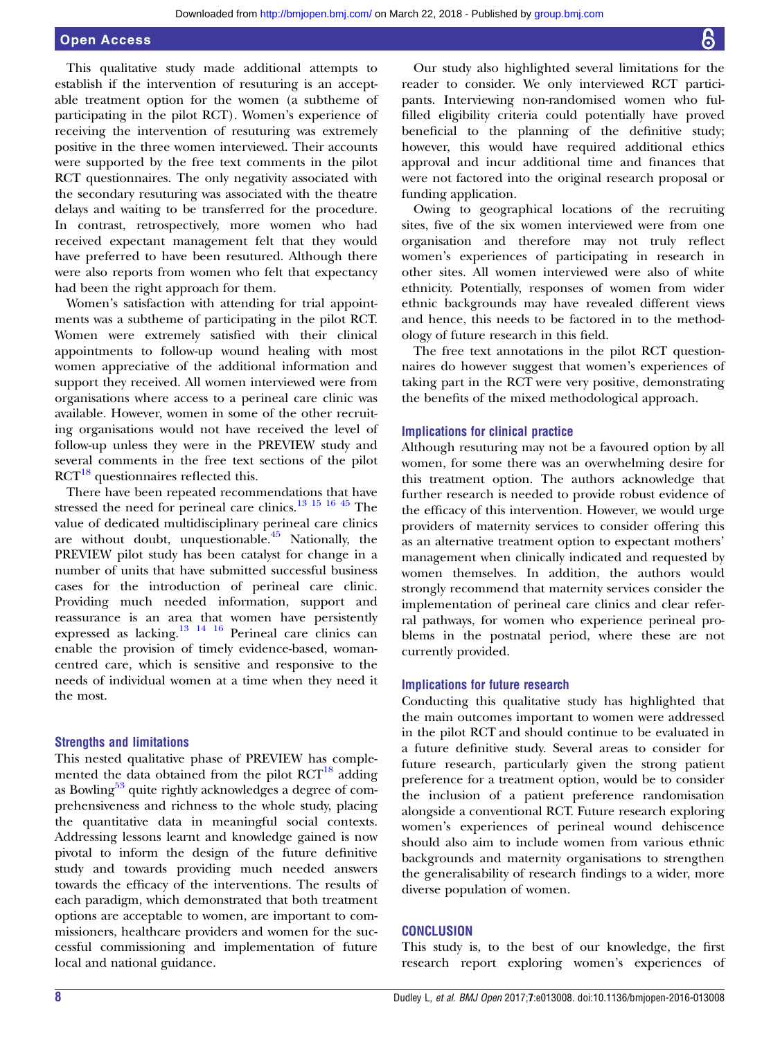This qualitative study made additional attempts to establish if the intervention of resuturing is an acceptable treatment option for the women (a subtheme of participating in the pilot RCT). Women's experience of receiving the intervention of resuturing was extremely positive in the three women interviewed. Their accounts were supported by the free text comments in the pilot RCT questionnaires. The only negativity associated with the secondary resuturing was associated with the theatre delays and waiting to be transferred for the procedure. In contrast, retrospectively, more women who had received expectant management felt that they would have preferred to have been resutured. Although there were also reports from women who felt that expectancy had been the right approach for them.

Women's satisfaction with attending for trial appointments was a subtheme of participating in the pilot RCT. Women were extremely satisfied with their clinical appointments to follow-up wound healing with most women appreciative of the additional information and support they received. All women interviewed were from organisations where access to a perineal care clinic was available. However, women in some of the other recruiting organisations would not have received the level of follow-up unless they were in the PREVIEW study and several comments in the free text sections of the pilot  $RCT<sup>18</sup>$  $RCT<sup>18</sup>$  $RCT<sup>18</sup>$  questionnaires reflected this.

There have been repeated recommendations that have stressed the need for perineal care clinics.[13 15 16](#page-8-0) [45](#page-9-0) The value of dedicated multidisciplinary perineal care clinics are without doubt, unquestionable.[45](#page-9-0) Nationally, the PREVIEW pilot study has been catalyst for change in a number of units that have submitted successful business cases for the introduction of perineal care clinic. Providing much needed information, support and reassurance is an area that women have persistently expressed as lacking.<sup>[13 14 16](#page-8-0)</sup> Perineal care clinics can enable the provision of timely evidence-based, womancentred care, which is sensitive and responsive to the needs of individual women at a time when they need it the most.

#### Strengths and limitations

This nested qualitative phase of PREVIEW has complemented the data obtained from the pilot  $\text{RCT}^{18}$  $\text{RCT}^{18}$  $\text{RCT}^{18}$  adding as Bowling $53$  quite rightly acknowledges a degree of comprehensiveness and richness to the whole study, placing the quantitative data in meaningful social contexts. Addressing lessons learnt and knowledge gained is now pivotal to inform the design of the future definitive study and towards providing much needed answers towards the efficacy of the interventions. The results of each paradigm, which demonstrated that both treatment options are acceptable to women, are important to commissioners, healthcare providers and women for the successful commissioning and implementation of future local and national guidance.

Our study also highlighted several limitations for the reader to consider. We only interviewed RCT participants. Interviewing non-randomised women who fulfilled eligibility criteria could potentially have proved beneficial to the planning of the definitive study; however, this would have required additional ethics approval and incur additional time and finances that were not factored into the original research proposal or

Owing to geographical locations of the recruiting sites, five of the six women interviewed were from one organisation and therefore may not truly reflect women's experiences of participating in research in other sites. All women interviewed were also of white ethnicity. Potentially, responses of women from wider ethnic backgrounds may have revealed different views and hence, this needs to be factored in to the methodology of future research in this field.

The free text annotations in the pilot RCT questionnaires do however suggest that women's experiences of taking part in the RCT were very positive, demonstrating the benefits of the mixed methodological approach.

#### Implications for clinical practice

funding application.

Although resuturing may not be a favoured option by all women, for some there was an overwhelming desire for this treatment option. The authors acknowledge that further research is needed to provide robust evidence of the efficacy of this intervention. However, we would urge providers of maternity services to consider offering this as an alternative treatment option to expectant mothers' management when clinically indicated and requested by women themselves. In addition, the authors would strongly recommend that maternity services consider the implementation of perineal care clinics and clear referral pathways, for women who experience perineal problems in the postnatal period, where these are not currently provided.

#### Implications for future research

Conducting this qualitative study has highlighted that the main outcomes important to women were addressed in the pilot RCT and should continue to be evaluated in a future definitive study. Several areas to consider for future research, particularly given the strong patient preference for a treatment option, would be to consider the inclusion of a patient preference randomisation alongside a conventional RCT. Future research exploring women's experiences of perineal wound dehiscence should also aim to include women from various ethnic backgrounds and maternity organisations to strengthen the generalisability of research findings to a wider, more diverse population of women.

#### **CONCLUSION**

This study is, to the best of our knowledge, the first research report exploring women's experiences of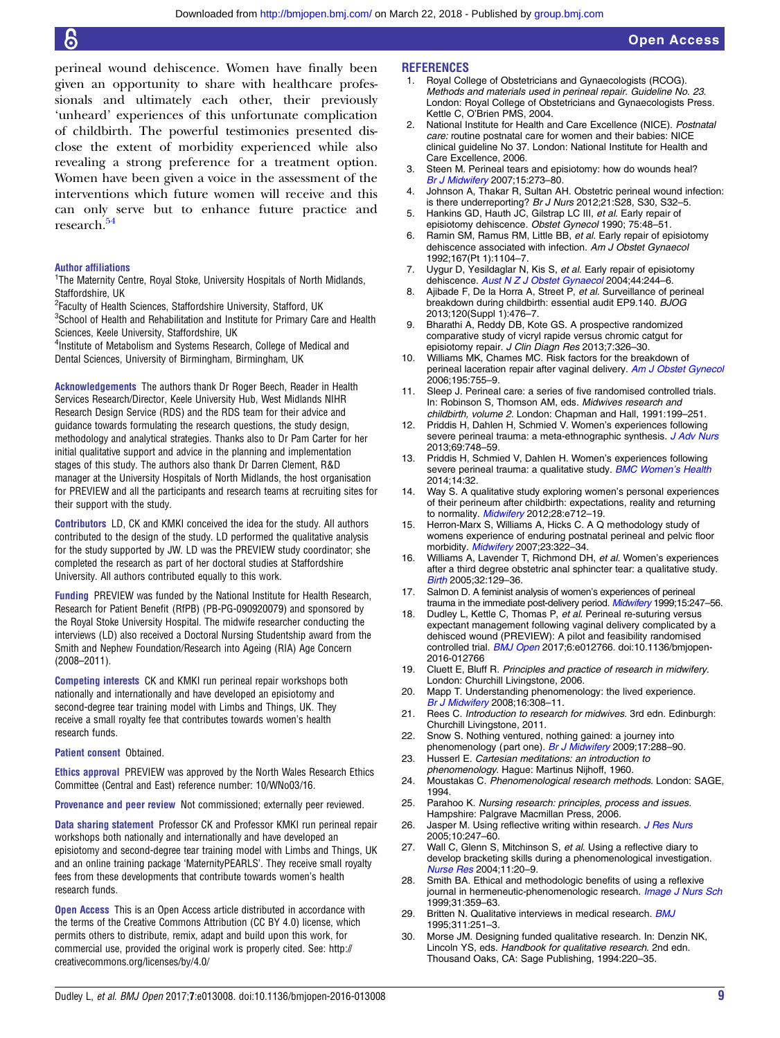<span id="page-8-0"></span>perineal wound dehiscence. Women have finally been given an opportunity to share with healthcare professionals and ultimately each other, their previously 'unheard' experiences of this unfortunate complication of childbirth. The powerful testimonies presented disclose the extent of morbidity experienced while also revealing a strong preference for a treatment option. Women have been given a voice in the assessment of the interventions which future women will receive and this can only serve but to enhance future practice and research.<sup>[54](#page-9-0)</sup>

#### Author affiliations

<sup>1</sup>The Maternity Centre, Royal Stoke, University Hospitals of North Midlands, Staffordshire, UK

<sup>2</sup>Faculty of Health Sciences, Staffordshire University, Stafford, UK

<sup>3</sup>School of Health and Rehabilitation and Institute for Primary Care and Health Sciences, Keele University, Staffordshire, UK

<sup>4</sup>Institute of Metabolism and Systems Research, College of Medical and Dental Sciences, University of Birmingham, Birmingham, UK

Acknowledgements The authors thank Dr Roger Beech, Reader in Health Services Research/Director, Keele University Hub, West Midlands NIHR Research Design Service (RDS) and the RDS team for their advice and guidance towards formulating the research questions, the study design, methodology and analytical strategies. Thanks also to Dr Pam Carter for her initial qualitative support and advice in the planning and implementation stages of this study. The authors also thank Dr Darren Clement, R&D manager at the University Hospitals of North Midlands, the host organisation for PREVIEW and all the participants and research teams at recruiting sites for their support with the study.

Contributors LD, CK and KMKI conceived the idea for the study. All authors contributed to the design of the study. LD performed the qualitative analysis for the study supported by JW. LD was the PREVIEW study coordinator; she completed the research as part of her doctoral studies at Staffordshire University. All authors contributed equally to this work.

Funding PREVIEW was funded by the National Institute for Health Research, Research for Patient Benefit (RfPB) (PB-PG-090920079) and sponsored by the Royal Stoke University Hospital. The midwife researcher conducting the interviews (LD) also received a Doctoral Nursing Studentship award from the Smith and Nephew Foundation/Research into Ageing (RIA) Age Concern (2008–2011).

Competing interests CK and KMKI run perineal repair workshops both nationally and internationally and have developed an episiotomy and second-degree tear training model with Limbs and Things, UK. They receive a small royalty fee that contributes towards women's health research funds.

#### Patient consent Obtained.

Ethics approval PREVIEW was approved by the North Wales Research Ethics Committee (Central and East) reference number: 10/WNo03/16.

Provenance and peer review Not commissioned; externally peer reviewed.

Data sharing statement Professor CK and Professor KMKI run perineal repair workshops both nationally and internationally and have developed an episiotomy and second-degree tear training model with Limbs and Things, UK and an online training package 'MaternityPEARLS'. They receive small royalty fees from these developments that contribute towards women's health research funds.

**Open Access** This is an Open Access article distributed in accordance with the terms of the Creative Commons Attribution (CC BY 4.0) license, which permits others to distribute, remix, adapt and build upon this work, for commercial use, provided the original work is properly cited. See: [http://](http://creativecommons.org/licenses/by/4.0/) [creativecommons.org/licenses/by/4.0/](http://creativecommons.org/licenses/by/4.0/)

#### REFERENCES

- 1. Royal College of Obstetricians and Gynaecologists (RCOG). Methods and materials used in perineal repair. Guideline No. 23. London: Royal College of Obstetricians and Gynaecologists Press. Kettle C, O'Brien PMS, 2004.
- 2. National Institute for Health and Care Excellence (NICE). Postnatal care: routine postnatal care for women and their babies: NICE clinical guideline No 37. London: National Institute for Health and Care Excellence, 2006.
- 3. Steen M. Perineal tears and episiotomy: how do wounds heal? [Br J Midwifery](http://dx.doi.org/10.12968/bjom.2007.15.5.23399) 2007;15:273–80.
- 4. Johnson A, Thakar R, Sultan AH. Obstetric perineal wound infection: is there underreporting? Br J Nurs 2012;21:S28, S30, S32–5.
- 5. Hankins GD, Hauth JC, Gilstrap LC III, et al. Early repair of episiotomy dehiscence. Obstet Gynecol 1990; 75:48–51.
- 6. Ramin SM, Ramus RM, Little BB, et al. Early repair of episiotomy dehiscence associated with infection. Am J Obstet Gynaecol 1992;167(Pt 1):1104–7.
- 7. Uygur D, Yesildaglar N, Kis S, et al. Early repair of episiotomy dehiscence. [Aust N Z J Obstet Gynaecol](http://dx.doi.org/10.1111/j.1479-828X.2004.00187.x) 2004;44:244-6.
- 8. Ajibade F, De la Horra A, Street P, et al. Surveillance of perineal breakdown during childbirth: essential audit EP9.140. BJOG 2013;120(Suppl 1):476–7.
- Bharathi A, Reddy DB, Kote GS. A prospective randomized comparative study of vicryl rapide versus chromic catgut for episiotomy repair. J Clin Diagn Res 2013;7:326–30.
- 10. Williams MK, Chames MC. Risk factors for the breakdown of perineal laceration repair after vaginal delivery. [Am J Obstet Gynecol](http://dx.doi.org/10.1016/j.ajog.2006.06.085) 2006;195:755–9.
- 11. Sleep J. Perineal care: a series of five randomised controlled trials. In: Robinson S, Thomson AM, eds. Midwives research and childbirth, volume 2. London: Chapman and Hall, 1991:199–251.
- 12. Priddis H, Dahlen H, Schmied V. Women's experiences following severe perineal trauma: a meta-ethnographic synthesis. [J Adv Nurs](http://dx.doi.org/10.1111/jan.12005) 2013;69:748–59.
- 13. Priddis H, Schmied V, Dahlen H. Women's experiences following severe perineal trauma: a qualitative study. [BMC Women](http://dx.doi.org/10.1186/1472-6874-14-32)'s Health 2014;14:32.
- 14. Way S. A qualitative study exploring women's personal experiences of their perineum after childbirth: expectations, reality and returning to normality. [Midwifery](http://dx.doi.org/10.1016/j.midw.2011.08.011) 2012;28:e712-19.
- 15. Herron-Marx S, Williams A, Hicks C. A Q methodology study of womens experience of enduring postnatal perineal and pelvic floor morbidity. [Midwifery](http://dx.doi.org/10.1016/j.midw.2006.04.005) 2007;23:322-34.
- 16. Williams A, Lavender T, Richmond DH, et al. Women's experiences after a third degree obstetric anal sphincter tear: a qualitative study. [Birth](http://dx.doi.org/10.1111/j.0730-7659.2005.00356.x) 2005;32:129-36.
- 17. Salmon D. A feminist analysis of women's experiences of perineal trauma in the immediate post-delivery period. [Midwifery](http://dx.doi.org/10.1054/midw.1999.0182) 1999;15:247-56.
- 18. Dudley L, Kettle C, Thomas P, et al. Perineal re-suturing versus expectant management following vaginal delivery complicated by a dehisced wound (PREVIEW): A pilot and feasibility randomised controlled trial. [BMJ Open](http://dx.doi.org/10.1136/bmjopen-2012-001458) 2017;6:e012766. doi:10.1136/bmjopen-2016-012766
- 19. Cluett E, Bluff R. Principles and practice of research in midwifery. London: Churchill Livingstone, 2006.
- 20. Mapp T. Understanding phenomenology: the lived experience. [Br J Midwifery](http://dx.doi.org/10.12968/bjom.2008.16.5.29192) 2008;16:308–11.
- 21. Rees C. Introduction to research for midwives. 3rd edn. Edinburgh: Churchill Livingstone, 2011.
- 22. Snow S. Nothing ventured, nothing gained: a journey into phenomenology (part one). [Br J Midwifery](http://dx.doi.org/10.12968/bjom.2009.17.5.42216) 2009;17:288-90.
- 23. Husserl E. Cartesian meditations: an introduction to phenomenology. Hague: Martinus Nijhoff, 1960.
- 24. Moustakas C. Phenomenological research methods. London: SAGE, 1994.
- 25. Parahoo K. Nursing research: principles, process and issues. Hampshire: Palgrave Macmillan Press, 2006.
- 26. Jasper M. Using reflective writing within research. [J Res Nurs](http://dx.doi.org/10.1177/174498710501000303) 2005;10:247–60.
- 27. Wall C, Glenn S, Mitchinson S, et al. Using a reflective diary to develop bracketing skills during a phenomenological investigation. [Nurse Res](http://dx.doi.org/10.7748/nr2004.07.11.4.20.c6212) 2004;11:20–9.
- 28. Smith BA. Ethical and methodologic benefits of using a reflexive journal in hermeneutic-phenomenologic research. [Image J Nurs Sch](http://dx.doi.org/10.1111/j.1547-5069.1999.tb00520.x) 1999;31:359–63.
- 29. Britten N. Qualitative interviews in medical research. **[BMJ](http://dx.doi.org/10.1136/bmj.311.6999.251)** 1995;311:251–3.
- 30. Morse JM. Designing funded qualitative research. In: Denzin NK, Lincoln YS, eds. Handbook for qualitative research. 2nd edn. Thousand Oaks, CA: Sage Publishing, 1994:220–35.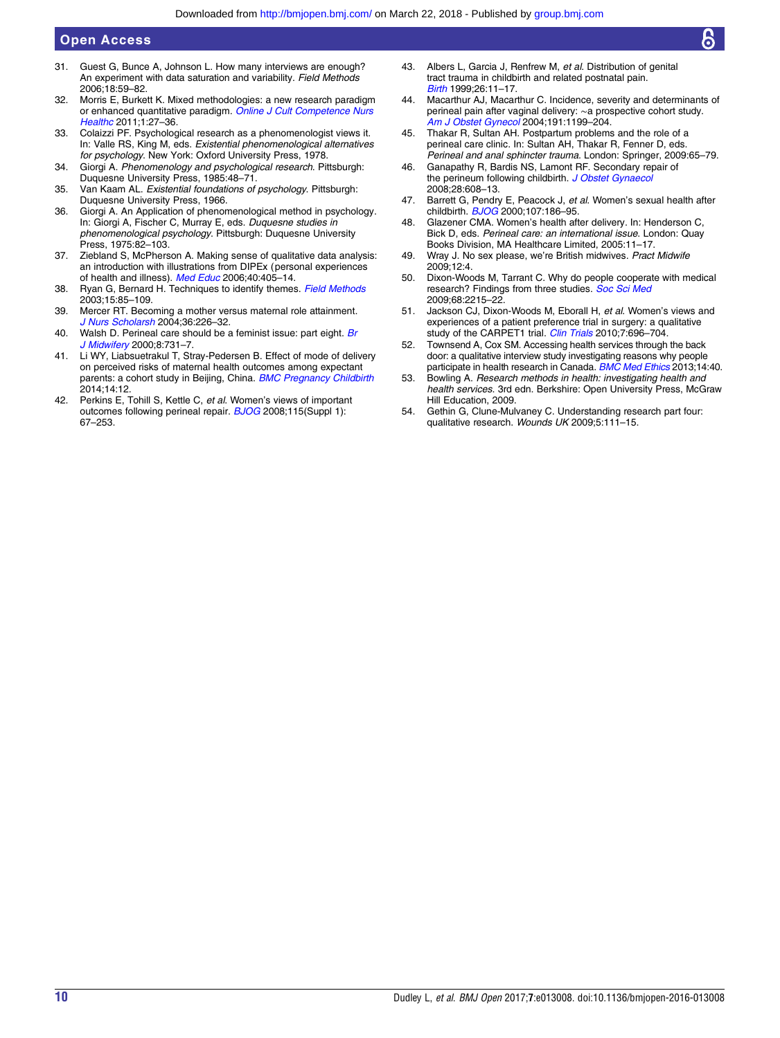- <span id="page-9-0"></span>31. Guest G, Bunce A, Johnson L. How many interviews are enough? An experiment with data saturation and variability. Field Methods 2006;18:59–82.
- 32. Morris E, Burkett K. Mixed methodologies: a new research paradigm or enhanced quantitative paradigm. [Online J Cult Competence Nurs](http://dx.doi.org/10.9730/ojccnh.org/v1n1a3) [Healthc](http://dx.doi.org/10.9730/ojccnh.org/v1n1a3) 2011;1:27–36.
- 33. Colaizzi PF. Psychological research as a phenomenologist views it. In: Valle RS, King M, eds. Existential phenomenological alternatives for psychology. New York: Oxford University Press, 1978.
- 34. Giorgi A. Phenomenology and psychological research. Pittsburgh: Duquesne University Press, 1985:48–71.
- 35. Van Kaam AL. Existential foundations of psychology. Pittsburgh: Duquesne University Press, 1966.
- 36. Giorgi A. An Application of phenomenological method in psychology. In: Giorgi A, Fischer C, Murray E, eds. Duquesne studies in phenomenological psychology. Pittsburgh: Duquesne University Press, 1975:82–103.
- 37. Ziebland S, McPherson A. Making sense of qualitative data analysis: an introduction with illustrations from DIPEx (personal experiences of health and illness). [Med Educ](http://dx.doi.org/10.1111/j.1365-2929.2006.02467.x) 2006;40:405-14.
- 38. Ryan G, Bernard H. Techniques to identify themes. [Field Methods](http://dx.doi.org/10.1177/1525822X02239569) 2003;15:85–109.
- 39. Mercer RT. Becoming a mother versus maternal role attainment. [J Nurs Scholarsh](http://dx.doi.org/10.1111/j.1547-5069.2004.04042.x) 2004;36:226–32.
- 40. Walsh D. Perineal care should be a feminist issue: part eight. [Br](http://dx.doi.org/10.12968/bjom.2000.8.12.8034) [J Midwifery](http://dx.doi.org/10.12968/bjom.2000.8.12.8034) 2000;8:731–7.
- 41. Li WY, Liabsuetrakul T, Stray-Pedersen B. Effect of mode of delivery on perceived risks of maternal health outcomes among expectant parents: a cohort study in Beijing, China. **[BMC Pregnancy Childbirth](http://dx.doi.org/10.1186/1471-2393-14-12)** 2014;14:12.
- 42. Perkins E, Tohill S, Kettle C, et al. Women's views of important outcomes following perineal repair. [BJOG](http://dx.doi.org/10.1111/j.1471-0528.2008.01889.x) 2008;115(Suppl 1): 67–253.
- 43. Albers L, Garcia J, Renfrew M, et al. Distribution of genital tract trauma in childbirth and related postnatal pain. [Birth](http://dx.doi.org/10.1046/j.1523-536x.1999.00011.x) 1999;26:11–17.
- 44. Macarthur AJ, Macarthur C. Incidence, severity and determinants of perineal pain after vaginal delivery: ∼a prospective cohort study. [Am J Obstet Gynecol](http://dx.doi.org/10.1016/j.ajog.2004.02.064) 2004;191:1199-204.
- 45. Thakar R, Sultan AH. Postpartum problems and the role of a perineal care clinic. In: Sultan AH, Thakar R, Fenner D, eds. Perineal and anal sphincter trauma. London: Springer, 2009:65–79.
- 46. Ganapathy R, Bardis NS, Lamont RF. Secondary repair of the perineum following childbirth. [J Obstet Gynaecol](http://dx.doi.org/10.1080/01443610802403401) 2008;28:608–13.
- 47. Barrett G, Pendry E, Peacock J, et al. Women's sexual health after childbirth. **[BJOG](http://dx.doi.org/10.1111/j.1471-0528.2000.tb11689.x)** 2000;107:186-95.
- 48. Glazener CMA. Women's health after delivery. In: Henderson C, Bick D, eds. Perineal care: an international issue. London: Quay Books Division, MA Healthcare Limited, 2005:11–17.
- 49. Wray J. No sex please, we're British midwives. Pract Midwife 2009;12:4.
- 50. Dixon-Woods M, Tarrant C. Why do people cooperate with medical research? Findings from three studies. [Soc Sci Med](http://dx.doi.org/10.1016/j.socscimed.2009.03.034) 2009;68:2215–22.
- 51. Jackson CJ, Dixon-Woods M, Eborall H, et al. Women's views and experiences of a patient preference trial in surgery: a qualitative study of the CARPET1 trial. [Clin Trials](http://dx.doi.org/10.1177/1740774510381286) 2010:7:696-704.
- 52. Townsend A, Cox SM. Accessing health services through the back door: a qualitative interview study investigating reasons why people participate in health research in Canada. **[BMC Med Ethics](http://dx.doi.org/10.1186/1472-6939-14-40)** 2013;14:40.
- 53. Bowling A. Research methods in health: investigating health and health services. 3rd edn. Berkshire: Open University Press, McGraw Hill Education, 2009.
- 54. Gethin G, Clune-Mulvaney C. Understanding research part four: qualitative research. Wounds UK 2009;5:111–15.